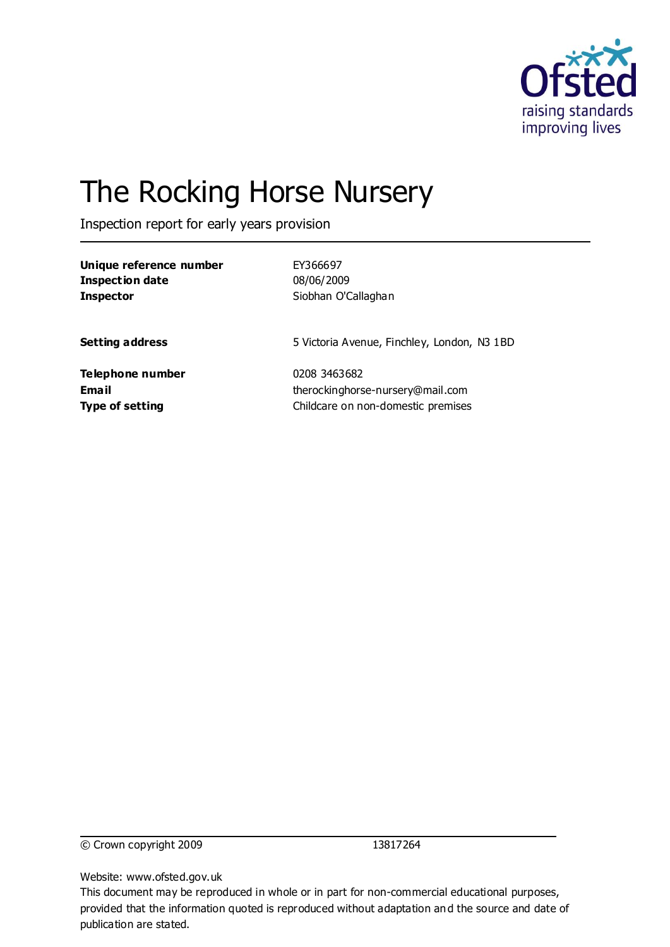

# The Rocking Horse Nursery

Inspection report for early years provision

| Unique reference number | EY366697                                    |
|-------------------------|---------------------------------------------|
| Inspection date         | 08/06/2009                                  |
| Inspector               | Siobhan O'Callaghan                         |
| <b>Setting address</b>  | 5 Victoria Avenue, Finchley, London, N3 1BD |
| Telephone number        | 0208 3463682                                |
| Email                   | therockinghorse-nursery@mail.com            |
| Type of setting         | Childcare on non-domestic premises          |

© Crown copyright 2009 13817264

Website: www.ofsted.gov.uk

This document may be reproduced in whole or in part for non-commercial educational purposes, provided that the information quoted is reproduced without adaptation and the source and date of publication are stated.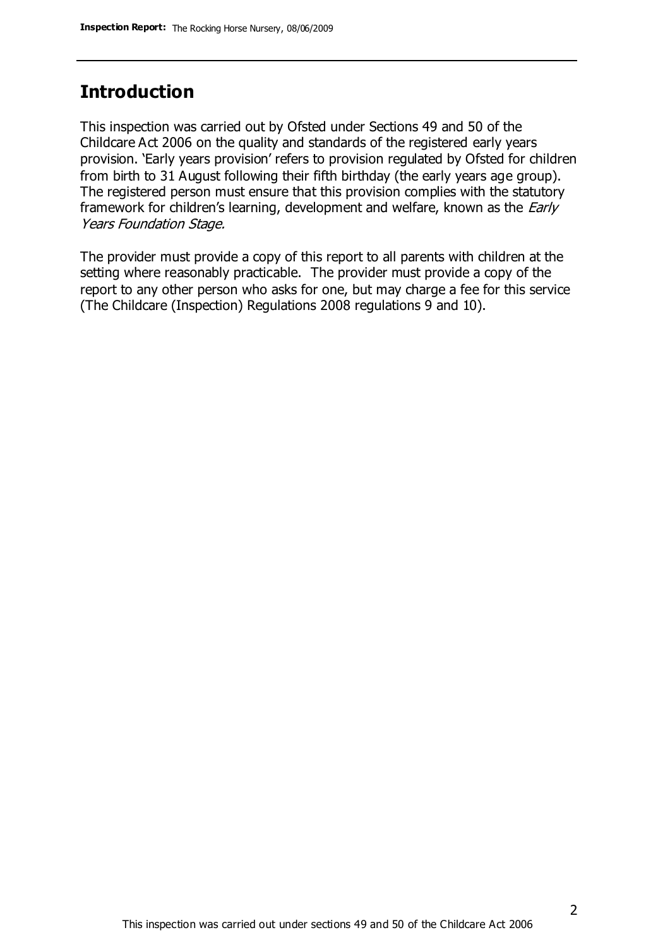# **Introduction**

This inspection was carried out by Ofsted under Sections 49 and 50 of the Childcare Act 2006 on the quality and standards of the registered early years provision. 'Early years provision' refers to provision regulated by Ofsted for children from birth to 31 August following their fifth birthday (the early years age group). The registered person must ensure that this provision complies with the statutory framework for children's learning, development and welfare, known as the *Early* Years Foundation Stage.

The provider must provide a copy of this report to all parents with children at the setting where reasonably practicable. The provider must provide a copy of the report to any other person who asks for one, but may charge a fee for this service (The Childcare (Inspection) Regulations 2008 regulations 9 and 10).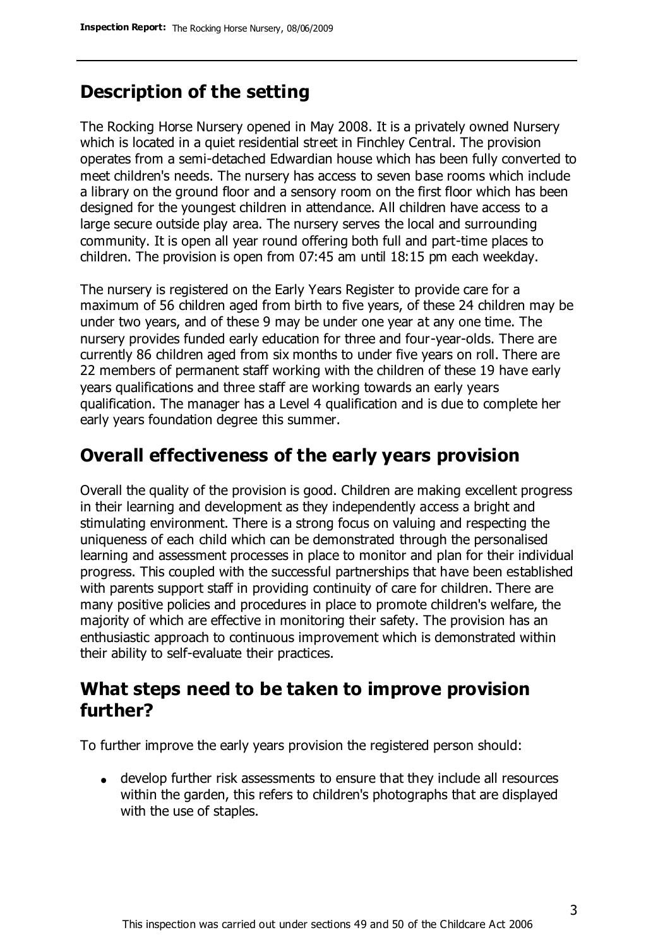# **Description of the setting**

The Rocking Horse Nursery opened in May 2008. It is a privately owned Nursery which is located in a quiet residential street in Finchley Central. The provision operates from a semi-detached Edwardian house which has been fully converted to meet children's needs. The nursery has access to seven base rooms which include a library on the ground floor and a sensory room on the first floor which has been designed for the youngest children in attendance. All children have access to a large secure outside play area. The nursery serves the local and surrounding community. It is open all year round offering both full and part-time places to children. The provision is open from 07:45 am until 18:15 pm each weekday.

The nursery is registered on the Early Years Register to provide care for a maximum of 56 children aged from birth to five years, of these 24 children may be under two years, and of these 9 may be under one year at any one time. The nursery provides funded early education for three and four-year-olds. There are currently 86 children aged from six months to under five years on roll. There are 22 members of permanent staff working with the children of these 19 have early years qualifications and three staff are working towards an early years qualification. The manager has a Level 4 qualification and is due to complete her early years foundation degree this summer.

### **Overall effectiveness of the early years provision**

Overall the quality of the provision is good. Children are making excellent progress in their learning and development as they independently access a bright and stimulating environment. There is a strong focus on valuing and respecting the uniqueness of each child which can be demonstrated through the personalised learning and assessment processes in place to monitor and plan for their individual progress. This coupled with the successful partnerships that have been established with parents support staff in providing continuity of care for children. There are many positive policies and procedures in place to promote children's welfare, the majority of which are effective in monitoring their safety. The provision has an enthusiastic approach to continuous improvement which is demonstrated within their ability to self-evaluate their practices.

# **What steps need to be taken to improve provision further?**

To further improve the early years provision the registered person should:

develop further risk assessments to ensure that they include all resources within the garden, this refers to children's photographs that are displayed with the use of staples.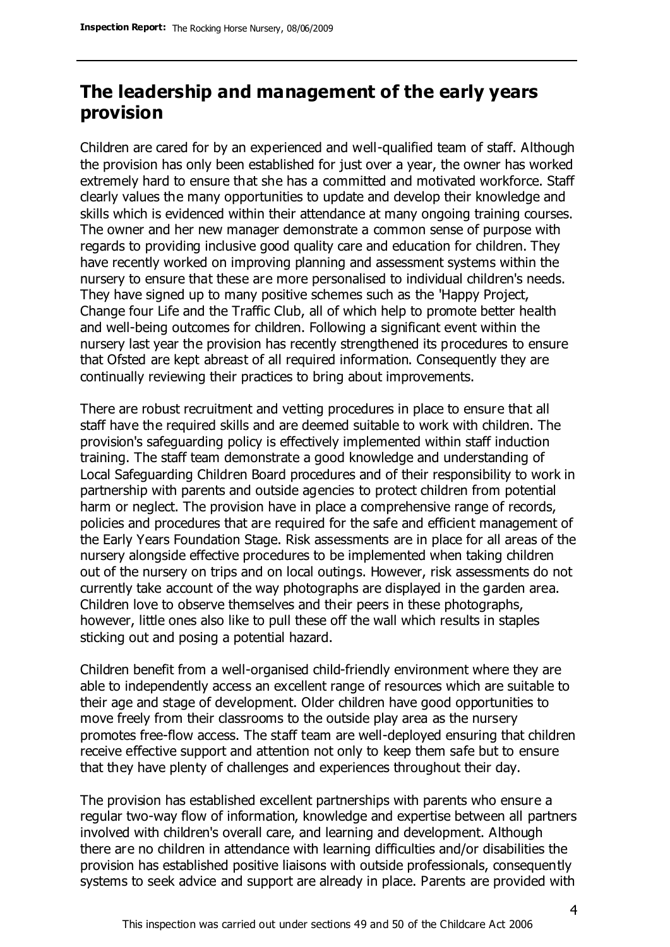# **The leadership and management of the early years provision**

Children are cared for by an experienced and well-qualified team of staff. Although the provision has only been established for just over a year, the owner has worked extremely hard to ensure that she has a committed and motivated workforce. Staff clearly values the many opportunities to update and develop their knowledge and skills which is evidenced within their attendance at many ongoing training courses. The owner and her new manager demonstrate a common sense of purpose with regards to providing inclusive good quality care and education for children. They have recently worked on improving planning and assessment systems within the nursery to ensure that these are more personalised to individual children's needs. They have signed up to many positive schemes such as the 'Happy Project, Change four Life and the Traffic Club, all of which help to promote better health and well-being outcomes for children. Following a significant event within the nursery last year the provision has recently strengthened its procedures to ensure that Ofsted are kept abreast of all required information. Consequently they are continually reviewing their practices to bring about improvements.

There are robust recruitment and vetting procedures in place to ensure that all staff have the required skills and are deemed suitable to work with children. The provision's safeguarding policy is effectively implemented within staff induction training. The staff team demonstrate a good knowledge and understanding of Local Safeguarding Children Board procedures and of their responsibility to work in partnership with parents and outside agencies to protect children from potential harm or neglect. The provision have in place a comprehensive range of records, policies and procedures that are required for the safe and efficient management of the Early Years Foundation Stage. Risk assessments are in place for all areas of the nursery alongside effective procedures to be implemented when taking children out of the nursery on trips and on local outings. However, risk assessments do not currently take account of the way photographs are displayed in the garden area. Children love to observe themselves and their peers in these photographs, however, little ones also like to pull these off the wall which results in staples sticking out and posing a potential hazard.

Children benefit from a well-organised child-friendly environment where they are able to independently access an excellent range of resources which are suitable to their age and stage of development. Older children have good opportunities to move freely from their classrooms to the outside play area as the nursery promotes free-flow access. The staff team are well-deployed ensuring that children receive effective support and attention not only to keep them safe but to ensure that they have plenty of challenges and experiences throughout their day.

The provision has established excellent partnerships with parents who ensure a regular two-way flow of information, knowledge and expertise between all partners involved with children's overall care, and learning and development. Although there are no children in attendance with learning difficulties and/or disabilities the provision has established positive liaisons with outside professionals, consequently systems to seek advice and support are already in place. Parents are provided with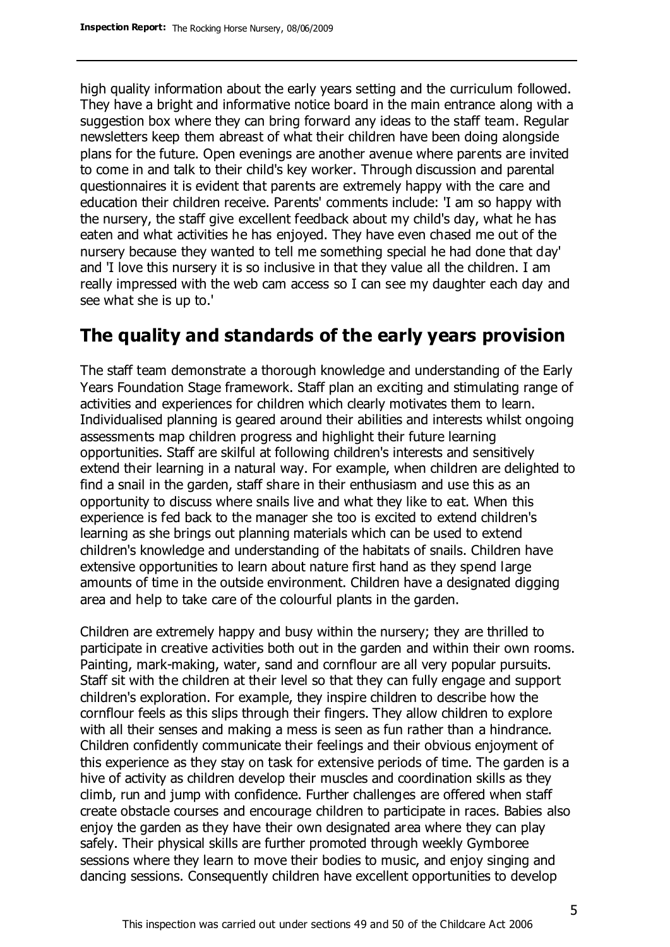high quality information about the early years setting and the curriculum followed. They have a bright and informative notice board in the main entrance along with a suggestion box where they can bring forward any ideas to the staff team. Regular newsletters keep them abreast of what their children have been doing alongside plans for the future. Open evenings are another avenue where parents are invited to come in and talk to their child's key worker. Through discussion and parental questionnaires it is evident that parents are extremely happy with the care and education their children receive. Parents' comments include: 'I am so happy with the nursery, the staff give excellent feedback about my child's day, what he has eaten and what activities he has enjoyed. They have even chased me out of the nursery because they wanted to tell me something special he had done that day' and 'I love this nursery it is so inclusive in that they value all the children. I am really impressed with the web cam access so I can see my daughter each day and see what she is up to.'

# **The quality and standards of the early years provision**

The staff team demonstrate a thorough knowledge and understanding of the Early Years Foundation Stage framework. Staff plan an exciting and stimulating range of activities and experiences for children which clearly motivates them to learn. Individualised planning is geared around their abilities and interests whilst ongoing assessments map children progress and highlight their future learning opportunities. Staff are skilful at following children's interests and sensitively extend their learning in a natural way. For example, when children are delighted to find a snail in the garden, staff share in their enthusiasm and use this as an opportunity to discuss where snails live and what they like to eat. When this experience is fed back to the manager she too is excited to extend children's learning as she brings out planning materials which can be used to extend children's knowledge and understanding of the habitats of snails. Children have extensive opportunities to learn about nature first hand as they spend large amounts of time in the outside environment. Children have a designated digging area and help to take care of the colourful plants in the garden.

Children are extremely happy and busy within the nursery; they are thrilled to participate in creative activities both out in the garden and within their own rooms. Painting, mark-making, water, sand and cornflour are all very popular pursuits. Staff sit with the children at their level so that they can fully engage and support children's exploration. For example, they inspire children to describe how the cornflour feels as this slips through their fingers. They allow children to explore with all their senses and making a mess is seen as fun rather than a hindrance. Children confidently communicate their feelings and their obvious enjoyment of this experience as they stay on task for extensive periods of time. The garden is a hive of activity as children develop their muscles and coordination skills as they climb, run and jump with confidence. Further challenges are offered when staff create obstacle courses and encourage children to participate in races. Babies also enjoy the garden as they have their own designated area where they can play safely. Their physical skills are further promoted through weekly Gymboree sessions where they learn to move their bodies to music, and enjoy singing and dancing sessions. Consequently children have excellent opportunities to develop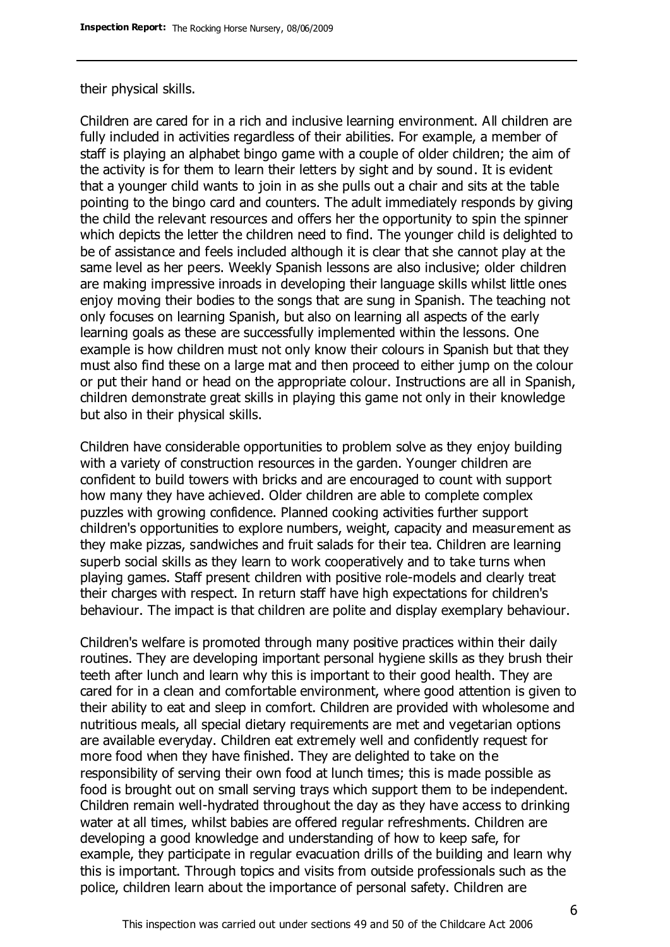#### their physical skills.

Children are cared for in a rich and inclusive learning environment. All children are fully included in activities regardless of their abilities. For example, a member of staff is playing an alphabet bingo game with a couple of older children; the aim of the activity is for them to learn their letters by sight and by sound. It is evident that a younger child wants to join in as she pulls out a chair and sits at the table pointing to the bingo card and counters. The adult immediately responds by giving the child the relevant resources and offers her the opportunity to spin the spinner which depicts the letter the children need to find. The younger child is delighted to be of assistance and feels included although it is clear that she cannot play at the same level as her peers. Weekly Spanish lessons are also inclusive; older children are making impressive inroads in developing their language skills whilst little ones enjoy moving their bodies to the songs that are sung in Spanish. The teaching not only focuses on learning Spanish, but also on learning all aspects of the early learning goals as these are successfully implemented within the lessons. One example is how children must not only know their colours in Spanish but that they must also find these on a large mat and then proceed to either jump on the colour or put their hand or head on the appropriate colour. Instructions are all in Spanish, children demonstrate great skills in playing this game not only in their knowledge but also in their physical skills.

Children have considerable opportunities to problem solve as they enjoy building with a variety of construction resources in the garden. Younger children are confident to build towers with bricks and are encouraged to count with support how many they have achieved. Older children are able to complete complex puzzles with growing confidence. Planned cooking activities further support children's opportunities to explore numbers, weight, capacity and measurement as they make pizzas, sandwiches and fruit salads for their tea. Children are learning superb social skills as they learn to work cooperatively and to take turns when playing games. Staff present children with positive role-models and clearly treat their charges with respect. In return staff have high expectations for children's behaviour. The impact is that children are polite and display exemplary behaviour.

Children's welfare is promoted through many positive practices within their daily routines. They are developing important personal hygiene skills as they brush their teeth after lunch and learn why this is important to their good health. They are cared for in a clean and comfortable environment, where good attention is given to their ability to eat and sleep in comfort. Children are provided with wholesome and nutritious meals, all special dietary requirements are met and vegetarian options are available everyday. Children eat extremely well and confidently request for more food when they have finished. They are delighted to take on the responsibility of serving their own food at lunch times; this is made possible as food is brought out on small serving trays which support them to be independent. Children remain well-hydrated throughout the day as they have access to drinking water at all times, whilst babies are offered regular refreshments. Children are developing a good knowledge and understanding of how to keep safe, for example, they participate in regular evacuation drills of the building and learn why this is important. Through topics and visits from outside professionals such as the police, children learn about the importance of personal safety. Children are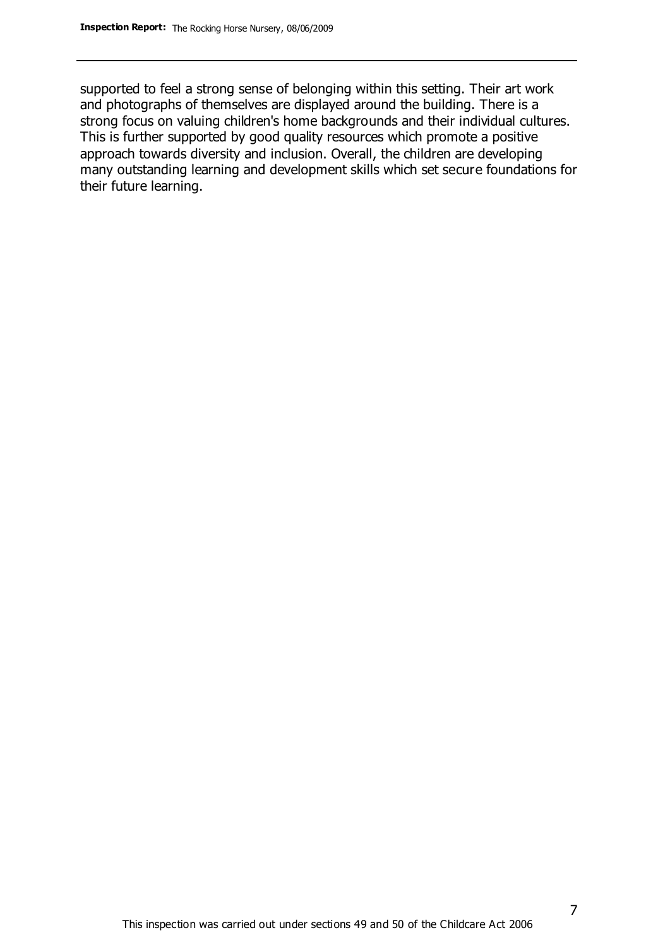supported to feel a strong sense of belonging within this setting. Their art work and photographs of themselves are displayed around the building. There is a strong focus on valuing children's home backgrounds and their individual cultures. This is further supported by good quality resources which promote a positive approach towards diversity and inclusion. Overall, the children are developing many outstanding learning and development skills which set secure foundations for their future learning.